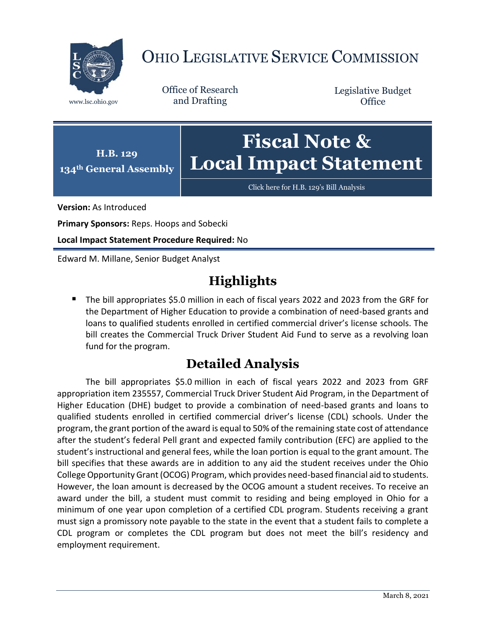

## OHIO LEGISLATIVE SERVICE COMMISSION

Office of Research www.lsc.ohio.gov and Drafting

Legislative Budget **Office** 



Click here for [H.B. 129's Bill Analysis](https://www.legislature.ohio.gov/legislation/legislation-documents?id=GA134-HB-129)

**Version:** As Introduced

**Primary Sponsors:** Reps. Hoops and Sobecki

**Local Impact Statement Procedure Required:** No

Edward M. Millane, Senior Budget Analyst

## **Highlights**

 The bill appropriates \$5.0 million in each of fiscal years 2022 and 2023 from the GRF for the Department of Higher Education to provide a combination of need-based grants and loans to qualified students enrolled in certified commercial driver's license schools. The bill creates the Commercial Truck Driver Student Aid Fund to serve as a revolving loan fund for the program.

## **Detailed Analysis**

The bill appropriates \$5.0 million in each of fiscal years 2022 and 2023 from GRF appropriation item 235557, Commercial Truck Driver Student Aid Program, in the Department of Higher Education (DHE) budget to provide a combination of need-based grants and loans to qualified students enrolled in certified commercial driver's license (CDL) schools. Under the program, the grant portion of the award is equal to 50% of the remaining state cost of attendance after the student's federal Pell grant and expected family contribution (EFC) are applied to the student's instructional and general fees, while the loan portion is equal to the grant amount. The bill specifies that these awards are in addition to any aid the student receives under the Ohio College Opportunity Grant (OCOG) Program, which provides need-based financial aid to students. However, the loan amount is decreased by the OCOG amount a student receives. To receive an award under the bill, a student must commit to residing and being employed in Ohio for a minimum of one year upon completion of a certified CDL program. Students receiving a grant must sign a promissory note payable to the state in the event that a student fails to complete a CDL program or completes the CDL program but does not meet the bill's residency and employment requirement.